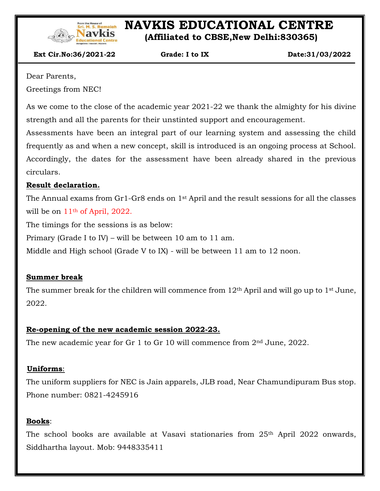

# **NAVIG EDUCATIONAL CENTRE**

 **(Affiliated to CBSE,New Delhi:830365)**

 **Ext Cir.No:36/2021-22 Grade: I to IX Date:31/03/2022**

Dear Parents,

Greetings from NEC!

As we come to the close of the academic year 2021-22 we thank the almighty for his divine strength and all the parents for their unstinted support and encouragement.

Assessments have been an integral part of our learning system and assessing the child frequently as and when a new concept, skill is introduced is an ongoing process at School. Accordingly, the dates for the assessment have been already shared in the previous circulars.

## **Result declaration.**

The Annual exams from Gr1-Gr8 ends on 1st April and the result sessions for all the classes will be on  $11<sup>th</sup>$  of April, 2022.

The timings for the sessions is as below:

Primary (Grade I to IV) – will be between 10 am to 11 am.

Middle and High school (Grade V to IX) - will be between 11 am to 12 noon.

## **Summer break**

The summer break for the children will commence from  $12<sup>th</sup>$  April and will go up to  $1<sup>st</sup>$  June, 2022.

## **Re-opening of the new academic session 2022-23.**

The new academic year for Gr 1 to Gr 10 will commence from 2<sup>nd</sup> June, 2022.

## **Uniforms**:

The uniform suppliers for NEC is Jain apparels, JLB road, Near Chamundipuram Bus stop. Phone number: 0821-4245916

## **Books**:

 $\overline{\phantom{a}}$ 

 $\overline{a}$ 

The school books are available at Vasavi stationaries from 25th April 2022 onwards, Siddhartha layout. Mob: 9448335411